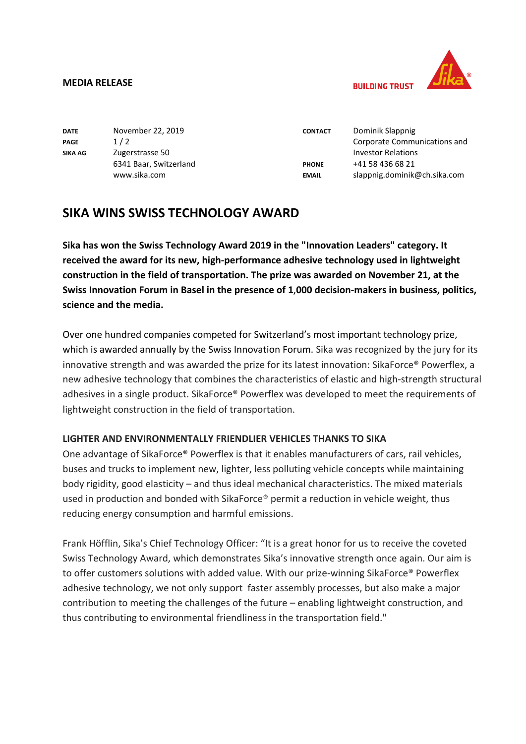#### **MEDIA RELEASE**



**RIIII DING TRUST** 

| <b>DATE</b> | November 22, 2019      | <b>CONTACT</b> | Dominik Slappnig             |
|-------------|------------------------|----------------|------------------------------|
| PAGE        | 1/2                    |                | Corporate Communications and |
| SIKA AG     | Zugerstrasse 50        |                | <b>Investor Relations</b>    |
|             | 6341 Baar, Switzerland | <b>PHONE</b>   | +41 58 436 68 21             |
|             | www.sika.com           | <b>EMAIL</b>   | slappnig.dominik@ch.sika.com |

# **SIKA WINS SWISS TECHNOLOGY AWARD**

**Sika has won the Swiss Technology Award 2019 in the "Innovation Leaders" category. It received the award for its new, high-performance adhesive technology used in lightweight construction in the field of transportation. The prize was awarded on November 21, at the Swiss Innovation Forum in Basel in the presence of 1**,**000 decision-makers in business, politics, science and the media.**

Over one hundred companies competed for Switzerland's most important technology prize, which is awarded annually by the Swiss Innovation Forum. Sika was recognized by the jury for its innovative strength and was awarded the prize for its latest innovation: SikaForce® Powerflex, a new adhesive technology that combines the characteristics of elastic and high-strength structural adhesives in a single product. SikaForce® Powerflex was developed to meet the requirements of lightweight construction in the field of transportation.

## **LIGHTER AND ENVIRONMENTALLY FRIENDLIER VEHICLES THANKS TO SIKA**

One advantage of SikaForce® Powerflex is that it enables manufacturers of cars, rail vehicles, buses and trucks to implement new, lighter, less polluting vehicle concepts while maintaining body rigidity, good elasticity – and thus ideal mechanical characteristics. The mixed materials used in production and bonded with SikaForce® permit a reduction in vehicle weight, thus reducing energy consumption and harmful emissions.

Frank Höfflin, Sika's Chief Technology Officer: "It is a great honor for us to receive the coveted Swiss Technology Award, which demonstrates Sika's innovative strength once again. Our aim is to offer customers solutions with added value. With our prize-winning SikaForce® Powerflex adhesive technology, we not only support faster assembly processes, but also make a major contribution to meeting the challenges of the future – enabling lightweight construction, and thus contributing to environmental friendliness in the transportation field."